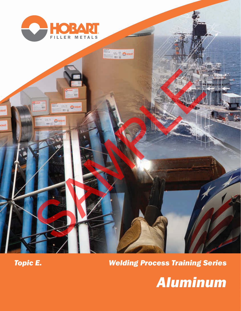



## *Welding Process Training Series*

SAMPLE AND SAMPLE

品位

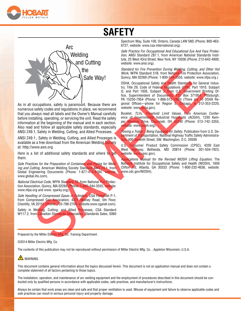

# **SAFETY**



As in all occupations, safety is paramount. Because there are numerous safety codes and regulations in place, we recommend that you always read all labels and the Owner's Manual carefully before installing, operating, or servicing the unit. Read the safety information at the beginning of the manual and in each section. Also read and follow all applicable safety standards, especially ANSI Z49.1, Safety in Welding, Cutting, and Allied Processes. The Matter Wayl Barrist Wayl Band for the Proposition of Distribution Band for the Proposition of the Content of the Content of the Content of the Content of the Content of the Content of the Content of the Content of the

ANSI Z49.1:, Safety in Welding, Cutting, and Allied Processes is available as a free download from the American Welding Society at: http://www.aws.org

Here is a list of additional safety standards and where to get them.

*Safe Practices for the Preparation of Containers and Piping for Welding and Cutting*, American Welding Society Standard AWS F4.1, from Global Engineering Documents (Phone: 1-877-413-5184, website: www.global.ihs.com).

*National Electrical Code*, NFPA Standard 70, from National Fire Protection Association, Quincy, MA 02269 (Phone: 1-800-344-3555, website: www.nfpa.org and www. sparky.org).

*Safe Handling of Compressed Gases in Cylinders*, CGA Pamphlet P-1, from Compressed Gas Association, 4221 Walney Road, 5th Floor, Chantilly, VA 20151 (Phone: 703-788-2700, website:www.cganet.com).

Safety in Welding, Cutting, and Allied Processes, CSA Standard W117.2, from Canadian Standards Association, Standards Sales, 5060

Spectrum Way, Suite 100, Ontario, Canada L4W 5NS (Phone: 800-463- 6727, website: www.csa-international.org).

*Safe Practice For Occupational And Educational Eye And Face Protection*, ANSI Standard Z87.1, from American National Standards Institute, 25 West 43rd Street, New York, NY 10036 (Phone: 212-642-4900, website: www.ansi.org).

*Standard for Fire Prevention During Welding, Cutting, and Other Hot Work*, NFPA Standard 51B, from National Fire Protection Association, Quincy, MA 02269 (Phone: 1-800-344-3555, website: www.nfpa.org.)

OSHA, Occupational Safety and Health Standards for General Industry, Title 29, Code of Federal Regulations (CFR), Part 1910, Subpart Q, and Part 1926, Subpart J, from U.S. Government Printing Office, Superintendent of Documents, P.O. Box 371954, Pittsburgh, PA 15250-7954 (Phone: 1-866-512-1800) (There are 10 OSHA Regional Offices—phone for Region 5, Chicago, is 312-353-2220, website: www.osha.gov).

Booklet, *TLVs, Threshold Limit Values*, from American Conference of Governmental Industrial Hygienists (ACGIH), 1330 Kemper Meadow Drive, Cincinnati, OH 45240 (Phone: 513−742−3355, website: www.acgih.org).

*Towing a Trailer − Being Equipped for Safety*, Publication from U.S. Department of Transportation, National Highway Traffic Safety Administraon, 400 Seventh Street, SW, Washington, D.C. 20590

U.S. Consumer Product Safety Commission (CPSC), 4330 East West Highway, Bethesda, MD 20814 (Phone: 301-504-7923, website: www.cpsc.gov).

*Applications Manual for the Revised NIOSH Lifting Equation*, The National Institute for Occupational Safety and Health (NIOSH), 1600 Clifton Rd, Atlanta, GA 30333 (Phone: 1-800-232-4636, website: www.cdc.gov/NIOSH).

Prepared by the Miller Electric Mfg. Co. Training Department.

#### ©2014 Miller Electric Mfg. Co.

The contents of this publication may not be reproduced without permission of Miller Electric Mfg. Co. , Appleton Wisconsin, U.S.A.

### **A** WARNING

This document contains general information about the topics discussed herein. This document is not an application manual and does not contain a complete statement of all factors pertaining to those topics.

The installation, operation, and maintenance of arc welding equipment and the employment of procedures described in this document should be conducted only by qualified persons in accordance with applicable codes, safe practices, and manufacturer's instructions.

Always be certain that work areas are clean and safe and that proper ventilation is used. Misuse of equipment and failure to observe applicable codes and safe practices can result in serious personal injury and property damage.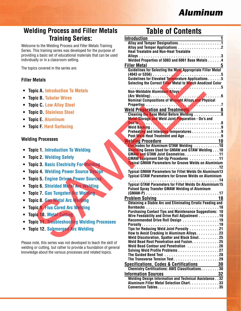## *Aluminum*

### **Welding Process and Filler Metals Training Series:**

Welcome to the Welding Process and Filler Metals Training Series. This training series was developed for the purpose of providing a basic set of educational materials that can be used individually or in a classroom setting.

The topics covered in the series are:

### **Filler Metals**

- **• Topic A. Introduction To Metals**
- **• Topic B. Tubular Wires**
- **• Topic C. Low Alloy Steel**
- **• Topic D. Stainless Steel**
- **• Topic E. Aluminum**
- **• Topic F. Hard Surfacing**

### **Welding Processes**

- **• Topic 1. Introduction To Welding**
- **• Topic 2. Welding Safety**
- **• Topic 3. Basic Electricity For Welding**
- **• Topic 4. Welding Power Source Design**
- **• Topic 5. Engine Driven Power Sources**
- **• Topic 6. Shielded Metal Arc Welding**
- **• Topic 7. Gas Tungsten Arc Welding**
- **• Topic 8. Gas Metal Arc Welding**
- **• Topic 9. Flux Cored Arc Welding**
- **• Topic 10. Metal Cutting**
- **• Topic 11. Troubleshooting Welding Processes**
- **• Topic 12. Submerged Arc Welding**

Please note, this series was not developed to teach the skill of welding or cutting, but rather to provide a foundation of general knowledge about the various processes and related topics.

### **Table of Contents**

| <b>Training Series:</b>                                                                                            | <b>Introduction</b>                                                                                                           |
|--------------------------------------------------------------------------------------------------------------------|-------------------------------------------------------------------------------------------------------------------------------|
| ne to the Welding Process and Filler Metals Training<br>This training series was developed for the purpose of      | <b>Heat Treatable and Non-Heat Treatable</b>                                                                                  |
| ng a basic set of educational materials that can be used<br>ually or in a classroom setting.                       |                                                                                                                               |
| bics covered in the series are:                                                                                    | <b>Filler Metal</b>                                                                                                           |
|                                                                                                                    | Guidelines for Selecting the Most Appropriate Filler Metal<br>(4043 or 5356)                                                  |
| <b>Metals</b>                                                                                                      | Guidelines for Elevated Temperature Applications 5<br>Selecting the Correct Filler Metal to Match Anodized Color              |
| pic A. Introduction To Metals                                                                                      | Non-Weldable Aluminum Alloys                                                                                                  |
| pic B. Tubular Wires                                                                                               | Nominal Compositions of Wrought Alloys and Physical                                                                           |
| pic C. Low Alloy Steel                                                                                             |                                                                                                                               |
| pic D. Stainless Steel                                                                                             | Weld Preparation and Treatments 8<br><b>Cleaning the Base Metal Before Welding  8</b>                                         |
| pic E. Aluminum                                                                                                    | <b>Metal Storage and Weld Joint Preparation - Do's and</b>                                                                    |
| pic F. Hard Surfacing                                                                                              | Preheating and Interpass Temperatures 9<br>Post-Weld Heat Treatment and Age 9                                                 |
| ing Processes                                                                                                      | elding Procedure<br><b>Electrodes for Aluminum GTAW Welding 10</b><br><b>Welding Procedure</b>                                |
| pic 1. Introduction To Welding                                                                                     | Shielding Gases Used for GMAW and GTAW Welding 10<br>GMAW and GTAW Joint Geometries11                                         |
| pic 2. Welding Safety                                                                                              | <b>GMAW Equipment Set-Up Procedures 11</b>                                                                                    |
| pic 3. Basic Electricity For Welding                                                                               | <b>Typical GMAW Parameters for Groove Welds on Aluminium</b>                                                                  |
| pic 4. Welding Power Source Design                                                                                 | <b>Typical GMAW Parameters for Fillet Welds On Aluminum13</b><br><b>Typical GTAW Parameters for Groove Welds on Aluminium</b> |
| pic 5. Engine Driven Power Sources                                                                                 |                                                                                                                               |
| pic 6. Shielded Metal Arc Welding<br>pic 7. Gas Tungsten Arc Welding                                               | <b>Typical GTAW Parameters for Fillet Welds On Aluminium 15</b><br><b>Pulsed Spray Transfer GMAW Welding of Aluminum</b>      |
| pic 8. Gas Metal Arc Welding                                                                                       | <b>Problem Solving</b><br>18                                                                                                  |
| pic 9. Flux Cored Arc Welding                                                                                      | <b>Obtaining a Stable Arc and Eliminating Erratic Feeding and</b>                                                             |
| pic 10. Metal Cutting                                                                                              | <b>Purchasing Contact Tips and Maintenance Suggestions: 18</b>                                                                |
|                                                                                                                    | Wire Feedability and Drive Roll Adjustment 19<br>Recommended Drive Roll Design 19                                             |
| pic 11. Treubleshooting Welding Processes                                                                          | Tips for Reducing Weld Joint Porosity 21                                                                                      |
| pic 12. Submerged Arc Welding                                                                                      | How to Avoid Cracking in Aluminum Alloys23<br>Weld Discoloration, Spatter and Black Smut. 25                                  |
| note, this series was not developed to teach the skill of                                                          | Weld Bead Root Penetration and Fusion. 25                                                                                     |
| g or cutting, but rather to provide a foundation of general<br>dge about the various processes and related topics. | Weld Bead Contour and Penetration 26<br>Solving Weld Profile Problems 27                                                      |
|                                                                                                                    | <b>Specifications, Codes &amp; Certifications</b><br>30                                                                       |
|                                                                                                                    | Chemistry Certifications: AWS Classifications30                                                                               |
|                                                                                                                    | 32<br><b>Information Sources</b><br><b>Welding Design Information and Technical Assistance32</b>                              |
|                                                                                                                    | Aluminum Filler Metal Selection Chart. 33                                                                                     |
|                                                                                                                    |                                                                                                                               |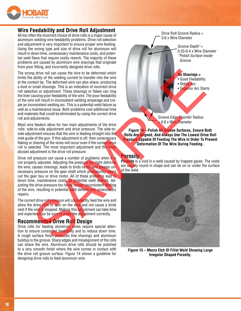

### **Wire Feedability and Drive Roll Adjustment**

All too often the incorrect choice of drive rolls is a major cause of aluminum welding wire feedability problems. Drive roll selection and adjustment is very important to ensure proper wire feeding. Using the wrong type and size of drive roll for aluminum will result in down time, unnecessary maintenance costs, and potential weld flaws that require costly rework. The majority of these problems are caused by aluminum wire shavings that originate from poor fitting, and incorrectly designed drive rolls.

The wrong drive roll can cause the wire to be deformed which limits the ability of the welding current to transfer into the wire at the contact tip. The deformed wire can also shave, producing a dust or small shavings. This is an indication of incorrect drive roll selection or adjustment. These shavings or flakes can clog the liner causing poor feedability of the wire. The poor feedability of the wire will result in inconsistent welding amperage and create an inconsistent welding arc. This is a potential weld failure as well as a maintenance issue. Both problems cost additional time and materials that could be eliminated by using the correct drive roll and adjustments.

Most wire feeders allow for two main adjustments of the drive rolls: side-to-side adjustment and drive pressure. The side-toside adjustment ensures that the wire is feeding straight into the inlet guide of the gun. If this adjustment is off, then unnecessary flaking or shaving of the wires will occur even if the correct drive roll is selected. The most important adjustment and the most abused adjustment is the drive roll pressure.

Drive roll pressure can cause a number of problems when it is not properly adjusted. Adjusting the pressure too tight deforms the wire, causes shavings, leads to birds nests, and creates unnecessary pressure on the gear shaft which prematurely wears out the gear box or drive motor. All of these problems lead to down time, maintenance costs, or potential weld defects. Adjusting the drive pressure too loose causes inconsistent feeding of the wire, resulting in potential weld defects and unnecessary repairs.

The correct drive roll pressure will consistently feed the wire and allow the drive rolls to spin on the wire and not cause a birds nest if the wire is stopped. Making this adjustment can take time and experience so be sure to make the adjustment correctly.

### **Recommended Drive Roll Design**

Drive rolls for feeding aluminum wires require special attention to ensure consistent feedability and to reduce down time. A rough surface finish produces fine shavings and aluminum buildup in the groove. Sharp edges and misalignment of the rolls can shave the wire. Aluminum drive rolls should be polished to a very smooth finish where the wire comes in contact with the drive roll groove surface. Figure 14 shows a guideline for designing drive rolls to feed aluminum wire.

Drive Roll Groove Radius = 0.6 x Wire Diameter

> Groove Depth\*= 0.33-0.4 x Wire Diameter *\*Polish Surface Inside Groove*

**No Shavings =**

- Good Feedability
- Stable Arc

• Superior Arc Starts

Groove Edge Chamfer Radius 0.6 x Wire Diameter

**Figure 14 – Polish All Groove Surfaces, Ensure Both Rolls Are Aligned, And Always Use The Lowest Drive Roll Pressure Capable Of Feeding The Wire In Order To Prevent Deformation Of The Wire During Feeding.**

### **Porosity**

**Porosity** is a void in a weld caused by trapped gases. The voids are usually round in shape and can be on or under the surface of the weld.



**Figure 15 – Macro Etch Of Fillet Weld Showing Large Irregular Shaped Porosity.**